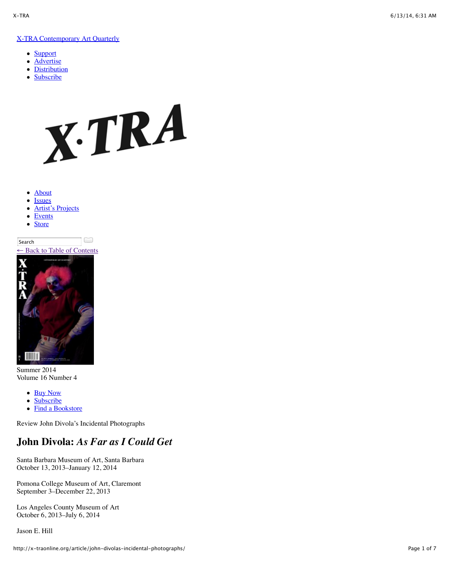## [X-TRA Contemporary Art Quarterly](http://x-traonline.org/)

- $\bullet$ **[Support](http://x-traonline.org/support/)**
- **[Advertise](http://x-traonline.org/advertise/)**  $\bullet$
- **[Distribution](http://x-traonline.org/distribution/)**
- **[Subscribe](https://secure.x-traonline.org/store/product/153)**



- [About](http://x-traonline.org/about/)  $\bullet$
- [Issues](http://x-traonline.org/issues/)
- [Artist's Projects](http://x-traonline.org/artists-project/)
- [Events](http://x-traonline.org/event-archive/)  $\bullet$
- **[Store](https://secure.x-traonline.org/store/)**  $\bullet$

 $\Box$ **Search** Back to Table of Contents



Summer 2014 Volume 16 Number 4

- [Buy Now](https://secure.x-traonline.org/store/product/281)
- **[Subscribe](https://secure.x-traonline.org/store/product/153)**  $\bullet$
- [Find a Bookstore](http://x-traonline.org/distribution/)

Review John Divola's Incidental Photographs

## **John Divola:** *As Far as I Could Get*

Santa Barbara Museum of Art, Santa Barbara October 13, 2013–January 12, 2014

Pomona College Museum of Art, Claremont September 3–December 22, 2013

Los Angeles County Museum of Art October 6, 2013–July 6, 2014

Jason E. Hill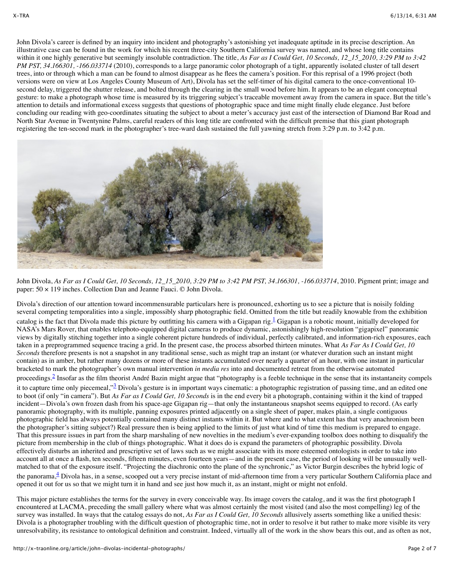John Divola's career is defined by an inquiry into incident and photography's astonishing yet inadequate aptitude in its precise description. An illustrative case can be found in the work for which his recent three-city Southern California survey was named, and whose long title contains within it one highly generative but seemingly insoluble contradiction. The title, *As Far as I Could Get, 10 Seconds, 12* 15 2010, 3:29 PM to 3:42 *PM PST, 34.166301, -166.033714* (2010), corresponds to a large panoramic color photograph of a tight, apparently isolated cluster of tall desert trees, into or through which a man can be found to almost disappear as he flees the camera's position. For this reprisal of a 1996 project (both versions were on view at Los Angeles County Museum of Art), Divola has set the self-timer of his digital camera to the once-conventional 10 second delay, triggered the shutter release, and bolted through the clearing in the small wood before him. It appears to be an elegant conceptual gesture: to make a photograph whose time is measured by its triggering subject's traceable movement away from the camera in space. But the title's attention to details and informational excess suggests that questions of photographic space and time might finally elude elegance. Just before concluding our reading with geo-coordinates situating the subject to about a meter's accuracy just east of the intersection of Diamond Bar Road and North Star Avenue in Twentynine Palms, careful readers of this long title are confronted with the difficult premise that this giant photograph registering the ten-second mark in the photographer's tree-ward dash sustained the full yawning stretch from 3:29 p.m. to 3:42 p.m.



John Divola, *As Far as I Could Get, 10 Seconds, 12\_15\_2010, 3:29 PM to 3:42 PM PST, 34.166301, -166.033714*, 2010. Pigment print; image and paper: 50 × 119 inches. Collection Dan and Jeanne Fauci. © John Divola.

Divola's direction of our attention toward incommensurable particulars here is pronounced, exhorting us to see a picture that is noisily folding several competing temporalities into a single, impossibly sharp photographic field. Omitted from the title but readily knowable from the exhibition catalog is the fact that Divola made this picture by outfitting his camera with a Gigapan rig.  $\frac{1}{2}$  Gigapan is a robotic mount, initially developed for NASA's Mars Rover, that enables telephoto-equipped digital cameras to produce dynamic, astonishingly high-resolution "gigapixel" panoramic views by digitally stitching together into a single coherent picture hundreds of individual, perfectly calibrated, and information-rich exposures, each taken in a preprogrammed sequence tracing a grid. In the present case, the process absorbed thirteen minutes. What *As Far As I Could Get, 10 Seconds* therefore presents is not a snapshot in any traditional sense, such as might trap an instant (or whatever duration such an instant might contain) as in amber, but rather many dozens or more of these instants accumulated over nearly a quarter of an hour, with one instant in particular bracketed to mark the photographer's own manual intervention *in media res* into and documented retreat from the otherwise automated

proceedings.[2](http://x-traonline.org/article/john-divolas-incidental-photographs/#footnote-2) Insofar as the film theorist André Bazin might argue that "photography is a feeble technique in the sense that its instantaneity compels it to capture time only piecemeal,"<sup>[3](http://x-traonline.org/article/john-divolas-incidental-photographs/#footnote-3)</sup> Divola's gesture is in important ways cinematic: a photographic registration of passing time, and an edited one to boot (if only "in camera"). But *As Far as I Could Get, 10 Seconds* is in the end every bit a photograph, containing within it the kind of trapped incident—Divola's own frozen dash from his space-age Gigapan rig—that only the instantaneous snapshot seems equipped to record. (As early panoramic photography, with its multiple, panning exposures printed adjacently on a single sheet of paper, makes plain, a single contiguous photographic field has always potentially contained many distinct instants within it. But where and to what extent has that very anachronism been the photographer's sitting subject?) Real pressure then is being applied to the limits of just what kind of time this medium is prepared to engage. That this pressure issues in part from the sharp marshaling of new novelties in the medium's ever-expanding toolbox does nothing to disqualify the picture from membership in the club of things photographic. What it does do is expand the parameters of photographic possibility. Divola effectively disturbs an inherited and prescriptive set of laws such as we might associate with its more esteemed ontologists in order to take into account all at once a flash, ten seconds, fifteen minutes, even fourteen years—and in the present case, the period of looking will be unusually wellmatched to that of the exposure itself. "Projecting the diachronic onto the plane of the synchronic," as Victor Burgin describes the hybrid logic of the panorama, $\frac{4}{3}$  Divola has, in a sense, scooped out a very precise instant of mid-afternoon time from a very particular Southern California place and opened it out for us so that we might turn it in hand and see just how much it, as an instant, might or might not enfold.

This major picture establishes the terms for the survey in every conceivable way. Its image covers the catalog, and it was the first photograph I encountered at LACMA, preceding the small gallery where what was almost certainly the most visited (and also the most compelling) leg of the survey was installed. In ways that the catalog essays do not, *As Far as I Could Get, 10 Seconds* allusively asserts something like a unified thesis: Divola is a photographer troubling with the difficult question of photographic time, not in order to resolve it but rather to make more visible its very unresolvability, its resistance to ontological definition and constraint. Indeed, virtually all of the work in the show bears this out, and as often as not,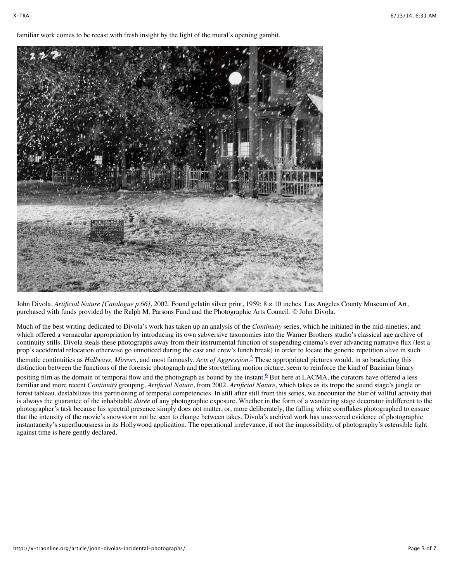familiar work comes to be recast with fresh insight by the light of the mural's opening gambit.



John Divola, *Artificial Nature [Catalogue p.66]*, 2002. Found gelatin silver print, 1959; 8 × 10 inches. Los Angeles County Museum of Art, purchased with funds provided by the Ralph M. Parsons Fund and the Photographic Arts Council. © John Divola.

Much of the best writing dedicated to Divola's work has taken up an analysis of the *Continuity* series, which he initiated in the mid-nineties, and which offered a vernacular appropriation by introducing its own subversive taxonomies into the Warner Brothers studio's classical age archive of continuity stills. Divola steals these photographs away from their instrumental function of suspending cinema's ever advancing narrative flux (lest a prop's accidental relocation otherwise go unnoticed during the cast and crew's lunch break) in order to locate the generic repetition alive in such thematic continuities as *Hallways, Mirrors*, and most famously, *Acts of Aggression*. [5](http://x-traonline.org/article/john-divolas-incidental-photographs/#footnote-5) These appropriated pictures would, in so bracketing this distinction between the functions of the forensic photograph and the storytelling motion picture, seem to reinforce the kind of Bazinian binary positing film as the domain of temporal flow and the photograph as bound by the instant.<sup>6</sup> But here at LACMA, the curators have offered a less familiar and more recent *Continuity* grouping, *Artificial Nature*, from 2002. *Artificial Nature*, which takes as its trope the sound stage's jungle or forest tableau, destabilizes this partitioning of temporal competencies. In still after still from this series, we encounter the blur of willful activity that is always the guarantee of the inhabitable *durée* of any photographic exposure. Whether in the form of a wandering stage decorator indifferent to the photographer's task because his spectral presence simply does not matter, or, more deliberately, the falling white cornflakes photographed to ensure that the intensity of the movie's snowstorm not be seen to change between takes, Divola's archival work has uncovered evidence of photographic instantaneity's superfluousness in its Hollywood application. The operational irrelevance, if not the impossibility, of photography's ostensible fight against time is here gently declared.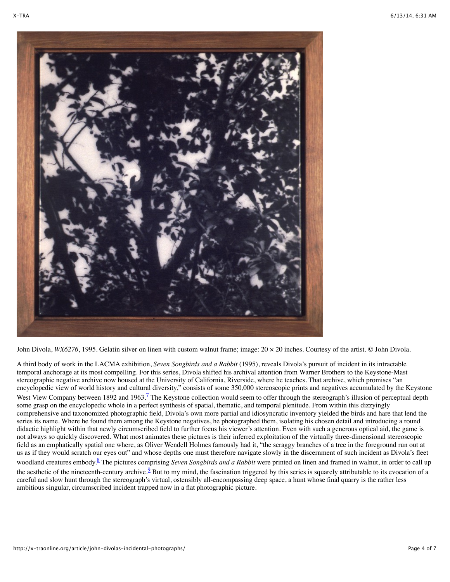

John Divola, *WX6276*, 1995. Gelatin silver on linen with custom walnut frame; image:  $20 \times 20$  inches. Courtesy of the artist. © John Divola.

A third body of work in the LACMA exhibition, *Seven Songbirds and a Rabbit* (1995), reveals Divola's pursuit of incident in its intractable temporal anchorage at its most compelling. For this series, Divola shifted his archival attention from Warner Brothers to the Keystone-Mast stereographic negative archive now housed at the University of California, Riverside, where he teaches. That archive, which promises "an encyclopedic view of world history and cultural diversity," consists of some 350,000 stereoscopic prints and negatives accumulated by the Keystone West View Company between 1892 and 1963.<sup>7</sup> The Keystone collection would seem to offer through the stereograph's illusion of perceptual depth some grasp on the encyclopedic whole in a perfect synthesis of spatial, thematic, and temporal plenitude. From within this dizzyingly comprehensive and taxonomized photographic field, Divola's own more partial and idiosyncratic inventory yielded the birds and hare that lend the series its name. Where he found them among the Keystone negatives, he photographed them, isolating his chosen detail and introducing a round didactic highlight within that newly circumscribed field to further focus his viewer's attention. Even with such a generous optical aid, the game is not always so quickly discovered. What most animates these pictures is their inferred exploitation of the virtually three-dimensional stereoscopic field as an emphatically spatial one where, as Oliver Wendell Holmes famously had it, "the scraggy branches of a tree in the foreground run out at us as if they would scratch our eyes out" and whose depths one must therefore navigate slowly in the discernment of such incident as Divola's fleet woodland creatures embody.<sup>8</sup> The pictures comprising *Seven Songbirds and a Rabbit* were printed on linen and framed in walnut, in order to call up the aesthetic of the nineteenth-century archive.<sup>9</sup> But to my mind, the fascination triggered by this series is squarely attributable to its evocation of a careful and slow hunt through the stereograph's virtual, ostensibly all-encompassing deep space, a hunt whose final quarry is the rather less ambitious singular, circumscribed incident trapped now in a flat photographic picture.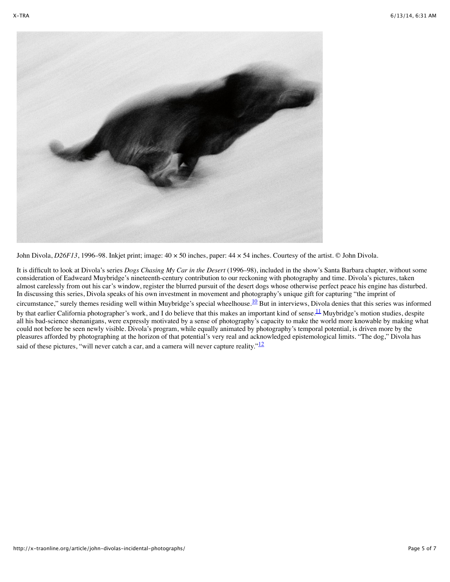

John Divola, *D26F13*, 1996–98. Inkjet print; image:  $40 \times 50$  inches, paper:  $44 \times 54$  inches. Courtesy of the artist. © John Divola.

It is difficult to look at Divola's series *Dogs Chasing My Car in the Desert* (1996–98), included in the show's Santa Barbara chapter, without some consideration of Eadweard Muybridge's nineteenth-century contribution to our reckoning with photography and time. Divola's pictures, taken almost carelessly from out his car's window, register the blurred pursuit of the desert dogs whose otherwise perfect peace his engine has disturbed. In discussing this series, Divola speaks of his own investment in movement and photography's unique gift for capturing "the imprint of circumstance," surely themes residing well within Muybridge's special wheelhouse.<sup>10</sup> But in interviews, Divola denies that this series was informed by that earlier California photographer's work, and I do believe that this makes an important kind of sense.<sup>11</sup> Muybridge's motion studies, despite all his bad-science shenanigans, were expressly motivated by a sense of photography's capacity to make the world more knowable by making what could not before be seen newly visible. Divola's program, while equally animated by photography's temporal potential, is driven more by the pleasures afforded by photographing at the horizon of that potential's very real and acknowledged epistemological limits. "The dog," Divola has said of these pictures, "will never catch a car, and a camera will never capture reality." $\frac{12}{12}$  $\frac{12}{12}$  $\frac{12}{12}$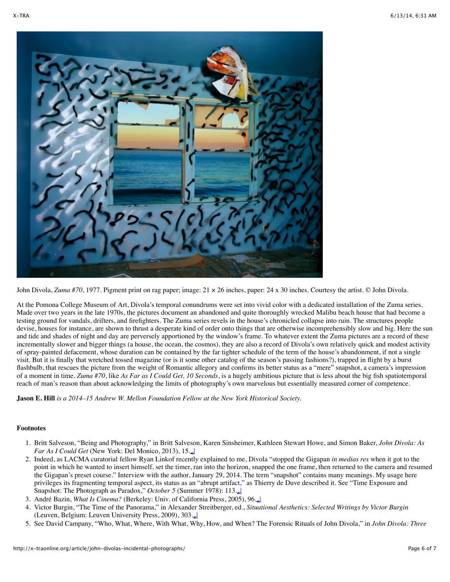

John Divola, *Zuma #70*, 1977. Pigment print on rag paper; image:  $21 \times 26$  inches, paper:  $24 \times 30$  inches. Courtesy the artist. © John Divola.

At the Pomona College Museum of Art, Divola's temporal conundrums were set into vivid color with a dedicated installation of the Zuma series. Made over two years in the late 1970s, the pictures document an abandoned and quite thoroughly wrecked Malibu beach house that had become a testing ground for vandals, drifters, and firefighters. The Zuma series revels in the house's chronicled collapse into ruin. The structures people devise, houses for instance, are shown to thrust a desperate kind of order onto things that are otherwise incomprehensibly slow and big. Here the sun and tide and shades of night and day are perversely apportioned by the window's frame. To whatever extent the Zuma pictures are a record of these incrementally slower and bigger things (a house, the ocean, the cosmos), they are also a record of Divola's own relatively quick and modest activity of spray-painted defacement, whose duration can be contained by the far tighter schedule of the term of the house's abandonment, if not a single visit. But it is finally that wretched tossed magazine (or is it some other catalog of the season's passing fashions?), trapped in flight by a burst flashbulb, that rescues the picture from the weight of Romantic allegory and confirms its better status as a "mere" snapshot, a camera's impression of a moment in time. *Zuma #70*, like *As Far as I Could Get, 10 Seconds*, is a hugely ambitious picture that is less about the big fish spatiotemporal reach of man's reason than about acknowledging the limits of photography's own marvelous but essentially measured corner of competence.

**Jason E. Hill** *is a 2014–15 Andrew W. Mellon Foundation Fellow at the New York Historical Society.*

## **Footnotes**

- 1. Britt Salveson, "Being and Photography," in Britt Salveson, Karen Sinsheimer, Kathleen Stewart Howe, and Simon Baker, *John Divola: As Far As I Could Get* (New York: Del Monico, 2013), 15.[↵](http://x-traonline.org/article/john-divolas-incidental-photographs/#refmark-1)
- 2. Indeed, as LACMA curatorial fellow Ryan Linkof recently explained to me, Divola "stopped the Gigapan *in medias res* when it got to the point in which he wanted to insert himself, set the timer, ran into the horizon, snapped the one frame, then returned to the camera and resumed the Gigapan's preset course." Interview with the author, January 29, 2014. The term "snapshot" contains many meanings. My usage here privileges its fragmenting temporal aspect, its status as an "abrupt artifact," as Thierry de Duve described it. See "Time Exposure and Snapshot: The Photograph as Paradox," *October 5* (Summer 1978): 113.[↵](http://x-traonline.org/article/john-divolas-incidental-photographs/#refmark-2)
- 3. André Bazin, *What Is Cinema?* (Berkeley: Univ. of California Press, 2005), 96.[↵](http://x-traonline.org/article/john-divolas-incidental-photographs/#refmark-3)
- 4. Victor Burgin, "The Time of the Panorama," in Alexander Streitberger, ed., *Situational Aesthetics: Selected Writings by Victor Burgin* (Leuven, Belgium: Leuven University Press, 2009), 303.[↵](http://x-traonline.org/article/john-divolas-incidental-photographs/#refmark-4)
- 5. See David Campany, "Who, What, Where, With What, Why, How, and When? The Forensic Rituals of John Divola," in *John Divola: Three*